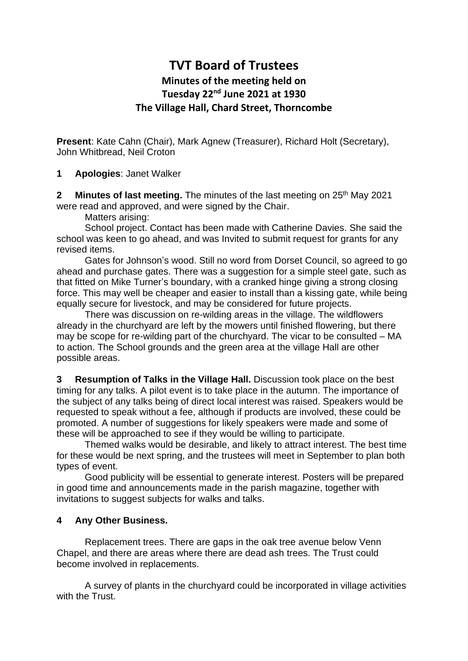## **TVT Board of Trustees Minutes of the meeting held on Tuesday 22 nd June 2021 at 1930 The Village Hall, Chard Street, Thorncombe**

**Present**: Kate Cahn (Chair), Mark Agnew (Treasurer), Richard Holt (Secretary), John Whitbread, Neil Croton

**1 Apologies**: Janet Walker

**2** Minutes of last meeting. The minutes of the last meeting on 25<sup>th</sup> May 2021 were read and approved, and were signed by the Chair.

Matters arising:

School project. Contact has been made with Catherine Davies. She said the school was keen to go ahead, and was Invited to submit request for grants for any revised items.

Gates for Johnson's wood. Still no word from Dorset Council, so agreed to go ahead and purchase gates. There was a suggestion for a simple steel gate, such as that fitted on Mike Turner's boundary, with a cranked hinge giving a strong closing force. This may well be cheaper and easier to install than a kissing gate, while being equally secure for livestock, and may be considered for future projects.

There was discussion on re-wilding areas in the village. The wildflowers already in the churchyard are left by the mowers until finished flowering, but there may be scope for re-wilding part of the churchyard. The vicar to be consulted – MA to action. The School grounds and the green area at the village Hall are other possible areas.

**3 Resumption of Talks in the Village Hall.** Discussion took place on the best timing for any talks. A pilot event is to take place in the autumn. The importance of the subject of any talks being of direct local interest was raised. Speakers would be requested to speak without a fee, although if products are involved, these could be promoted. A number of suggestions for likely speakers were made and some of these will be approached to see if they would be willing to participate.

Themed walks would be desirable, and likely to attract interest. The best time for these would be next spring, and the trustees will meet in September to plan both types of event.

Good publicity will be essential to generate interest. Posters will be prepared in good time and announcements made in the parish magazine, together with invitations to suggest subjects for walks and talks.

## **4 Any Other Business.**

Replacement trees. There are gaps in the oak tree avenue below Venn Chapel, and there are areas where there are dead ash trees. The Trust could become involved in replacements.

A survey of plants in the churchyard could be incorporated in village activities with the Trust.